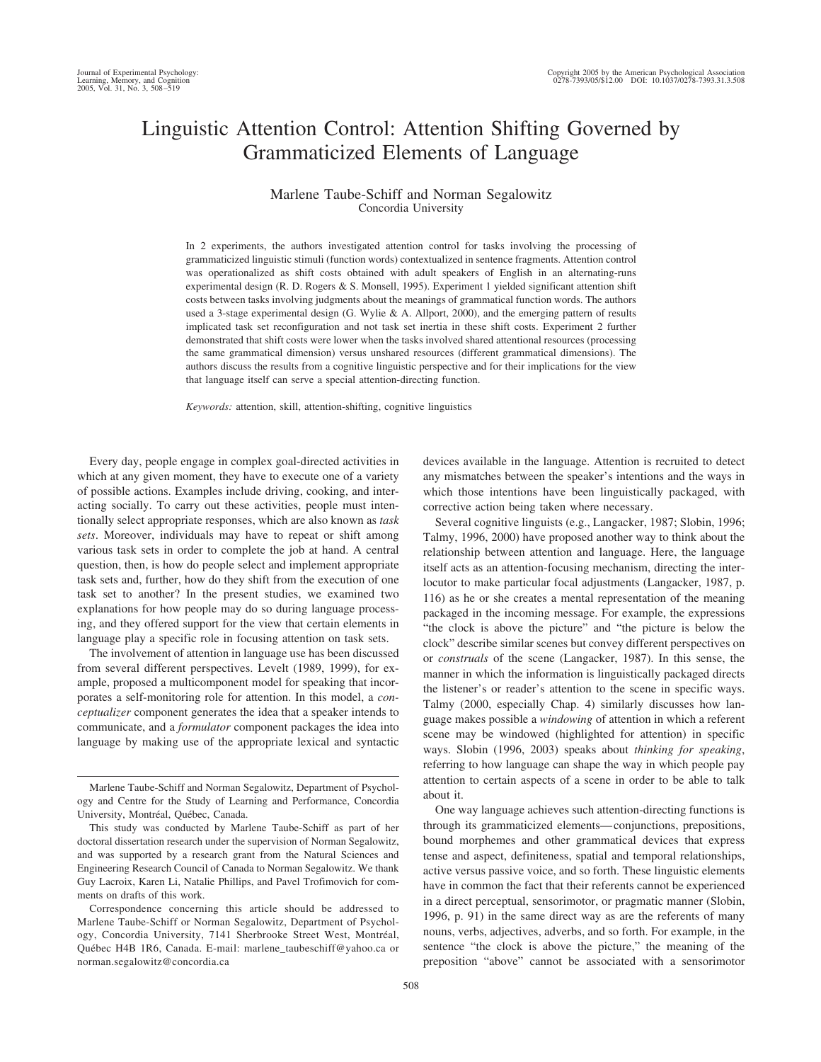# Linguistic Attention Control: Attention Shifting Governed by Grammaticized Elements of Language

## Marlene Taube-Schiff and Norman Segalowitz Concordia University

In 2 experiments, the authors investigated attention control for tasks involving the processing of grammaticized linguistic stimuli (function words) contextualized in sentence fragments. Attention control was operationalized as shift costs obtained with adult speakers of English in an alternating-runs experimental design (R. D. Rogers & S. Monsell, 1995). Experiment 1 yielded significant attention shift costs between tasks involving judgments about the meanings of grammatical function words. The authors used a 3-stage experimental design (G. Wylie & A. Allport, 2000), and the emerging pattern of results implicated task set reconfiguration and not task set inertia in these shift costs. Experiment 2 further demonstrated that shift costs were lower when the tasks involved shared attentional resources (processing the same grammatical dimension) versus unshared resources (different grammatical dimensions). The authors discuss the results from a cognitive linguistic perspective and for their implications for the view that language itself can serve a special attention-directing function.

*Keywords:* attention, skill, attention-shifting, cognitive linguistics

Every day, people engage in complex goal-directed activities in which at any given moment, they have to execute one of a variety of possible actions. Examples include driving, cooking, and interacting socially. To carry out these activities, people must intentionally select appropriate responses, which are also known as *task sets*. Moreover, individuals may have to repeat or shift among various task sets in order to complete the job at hand. A central question, then, is how do people select and implement appropriate task sets and, further, how do they shift from the execution of one task set to another? In the present studies, we examined two explanations for how people may do so during language processing, and they offered support for the view that certain elements in language play a specific role in focusing attention on task sets.

The involvement of attention in language use has been discussed from several different perspectives. Levelt (1989, 1999), for example, proposed a multicomponent model for speaking that incorporates a self-monitoring role for attention. In this model, a *conceptualizer* component generates the idea that a speaker intends to communicate, and a *formulator* component packages the idea into language by making use of the appropriate lexical and syntactic

devices available in the language. Attention is recruited to detect any mismatches between the speaker's intentions and the ways in which those intentions have been linguistically packaged, with corrective action being taken where necessary.

Several cognitive linguists (e.g., Langacker, 1987; Slobin, 1996; Talmy, 1996, 2000) have proposed another way to think about the relationship between attention and language. Here, the language itself acts as an attention-focusing mechanism, directing the interlocutor to make particular focal adjustments (Langacker, 1987, p. 116) as he or she creates a mental representation of the meaning packaged in the incoming message. For example, the expressions "the clock is above the picture" and "the picture is below the clock" describe similar scenes but convey different perspectives on or *construals* of the scene (Langacker, 1987). In this sense, the manner in which the information is linguistically packaged directs the listener's or reader's attention to the scene in specific ways. Talmy (2000, especially Chap. 4) similarly discusses how language makes possible a *windowing* of attention in which a referent scene may be windowed (highlighted for attention) in specific ways. Slobin (1996, 2003) speaks about *thinking for speaking*, referring to how language can shape the way in which people pay attention to certain aspects of a scene in order to be able to talk about it.

One way language achieves such attention-directing functions is through its grammaticized elements—conjunctions, prepositions, bound morphemes and other grammatical devices that express tense and aspect, definiteness, spatial and temporal relationships, active versus passive voice, and so forth. These linguistic elements have in common the fact that their referents cannot be experienced in a direct perceptual, sensorimotor, or pragmatic manner (Slobin, 1996, p. 91) in the same direct way as are the referents of many nouns, verbs, adjectives, adverbs, and so forth. For example, in the sentence "the clock is above the picture," the meaning of the preposition "above" cannot be associated with a sensorimotor

Marlene Taube-Schiff and Norman Segalowitz, Department of Psychology and Centre for the Study of Learning and Performance, Concordia University, Montréal, Québec, Canada.

This study was conducted by Marlene Taube-Schiff as part of her doctoral dissertation research under the supervision of Norman Segalowitz, and was supported by a research grant from the Natural Sciences and Engineering Research Council of Canada to Norman Segalowitz. We thank Guy Lacroix, Karen Li, Natalie Phillips, and Pavel Trofimovich for comments on drafts of this work.

Correspondence concerning this article should be addressed to Marlene Taube-Schiff or Norman Segalowitz, Department of Psychology, Concordia University, 7141 Sherbrooke Street West, Montréal, Québec H4B 1R6, Canada. E-mail: marlene\_taubeschiff@yahoo.ca or norman.segalowitz@concordia.ca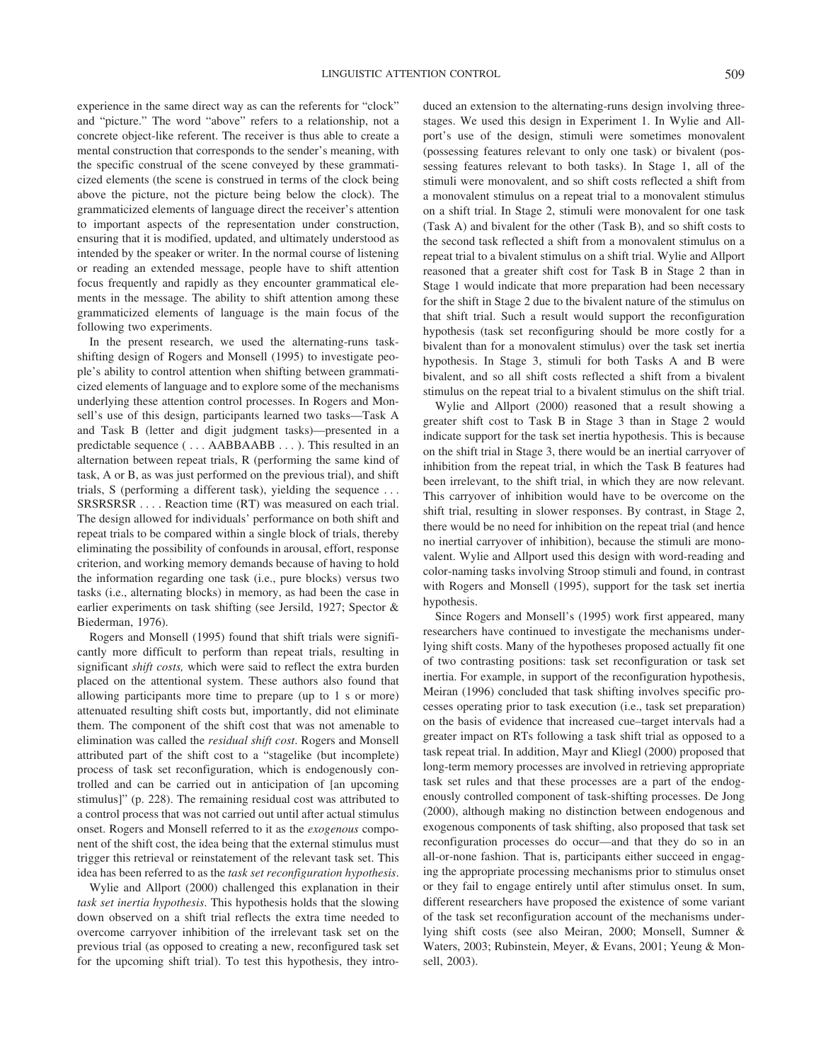experience in the same direct way as can the referents for "clock" and "picture." The word "above" refers to a relationship, not a concrete object-like referent. The receiver is thus able to create a mental construction that corresponds to the sender's meaning, with the specific construal of the scene conveyed by these grammaticized elements (the scene is construed in terms of the clock being above the picture, not the picture being below the clock). The grammaticized elements of language direct the receiver's attention to important aspects of the representation under construction, ensuring that it is modified, updated, and ultimately understood as intended by the speaker or writer. In the normal course of listening or reading an extended message, people have to shift attention focus frequently and rapidly as they encounter grammatical elements in the message. The ability to shift attention among these grammaticized elements of language is the main focus of the following two experiments.

In the present research, we used the alternating-runs taskshifting design of Rogers and Monsell (1995) to investigate people's ability to control attention when shifting between grammaticized elements of language and to explore some of the mechanisms underlying these attention control processes. In Rogers and Monsell's use of this design, participants learned two tasks—Task A and Task B (letter and digit judgment tasks)—presented in a predictable sequence ( . . . AABBAABB . . . ). This resulted in an alternation between repeat trials, R (performing the same kind of task, A or B, as was just performed on the previous trial), and shift trials, S (performing a different task), yielding the sequence . . . SRSRSRSR . . . . Reaction time (RT) was measured on each trial. The design allowed for individuals' performance on both shift and repeat trials to be compared within a single block of trials, thereby eliminating the possibility of confounds in arousal, effort, response criterion, and working memory demands because of having to hold the information regarding one task (i.e., pure blocks) versus two tasks (i.e., alternating blocks) in memory, as had been the case in earlier experiments on task shifting (see Jersild, 1927; Spector & Biederman, 1976).

Rogers and Monsell (1995) found that shift trials were significantly more difficult to perform than repeat trials, resulting in significant *shift costs,* which were said to reflect the extra burden placed on the attentional system. These authors also found that allowing participants more time to prepare (up to 1 s or more) attenuated resulting shift costs but, importantly, did not eliminate them. The component of the shift cost that was not amenable to elimination was called the *residual shift cost*. Rogers and Monsell attributed part of the shift cost to a "stagelike (but incomplete) process of task set reconfiguration, which is endogenously controlled and can be carried out in anticipation of [an upcoming stimulus]" (p. 228). The remaining residual cost was attributed to a control process that was not carried out until after actual stimulus onset. Rogers and Monsell referred to it as the *exogenous* component of the shift cost, the idea being that the external stimulus must trigger this retrieval or reinstatement of the relevant task set. This idea has been referred to as the *task set reconfiguration hypothesis*.

Wylie and Allport (2000) challenged this explanation in their *task set inertia hypothesis*. This hypothesis holds that the slowing down observed on a shift trial reflects the extra time needed to overcome carryover inhibition of the irrelevant task set on the previous trial (as opposed to creating a new, reconfigured task set for the upcoming shift trial). To test this hypothesis, they introduced an extension to the alternating-runs design involving threestages. We used this design in Experiment 1. In Wylie and Allport's use of the design, stimuli were sometimes monovalent (possessing features relevant to only one task) or bivalent (possessing features relevant to both tasks). In Stage 1, all of the stimuli were monovalent, and so shift costs reflected a shift from a monovalent stimulus on a repeat trial to a monovalent stimulus on a shift trial. In Stage 2, stimuli were monovalent for one task (Task A) and bivalent for the other (Task B), and so shift costs to the second task reflected a shift from a monovalent stimulus on a repeat trial to a bivalent stimulus on a shift trial. Wylie and Allport reasoned that a greater shift cost for Task B in Stage 2 than in Stage 1 would indicate that more preparation had been necessary for the shift in Stage 2 due to the bivalent nature of the stimulus on that shift trial. Such a result would support the reconfiguration hypothesis (task set reconfiguring should be more costly for a bivalent than for a monovalent stimulus) over the task set inertia hypothesis. In Stage 3, stimuli for both Tasks A and B were bivalent, and so all shift costs reflected a shift from a bivalent stimulus on the repeat trial to a bivalent stimulus on the shift trial.

Wylie and Allport (2000) reasoned that a result showing a greater shift cost to Task B in Stage 3 than in Stage 2 would indicate support for the task set inertia hypothesis. This is because on the shift trial in Stage 3, there would be an inertial carryover of inhibition from the repeat trial, in which the Task B features had been irrelevant, to the shift trial, in which they are now relevant. This carryover of inhibition would have to be overcome on the shift trial, resulting in slower responses. By contrast, in Stage 2, there would be no need for inhibition on the repeat trial (and hence no inertial carryover of inhibition), because the stimuli are monovalent. Wylie and Allport used this design with word-reading and color-naming tasks involving Stroop stimuli and found, in contrast with Rogers and Monsell (1995), support for the task set inertia hypothesis.

Since Rogers and Monsell's (1995) work first appeared, many researchers have continued to investigate the mechanisms underlying shift costs. Many of the hypotheses proposed actually fit one of two contrasting positions: task set reconfiguration or task set inertia. For example, in support of the reconfiguration hypothesis, Meiran (1996) concluded that task shifting involves specific processes operating prior to task execution (i.e., task set preparation) on the basis of evidence that increased cue–target intervals had a greater impact on RTs following a task shift trial as opposed to a task repeat trial. In addition, Mayr and Kliegl (2000) proposed that long-term memory processes are involved in retrieving appropriate task set rules and that these processes are a part of the endogenously controlled component of task-shifting processes. De Jong (2000), although making no distinction between endogenous and exogenous components of task shifting, also proposed that task set reconfiguration processes do occur—and that they do so in an all-or-none fashion. That is, participants either succeed in engaging the appropriate processing mechanisms prior to stimulus onset or they fail to engage entirely until after stimulus onset. In sum, different researchers have proposed the existence of some variant of the task set reconfiguration account of the mechanisms underlying shift costs (see also Meiran, 2000; Monsell, Sumner & Waters, 2003; Rubinstein, Meyer, & Evans, 2001; Yeung & Monsell, 2003).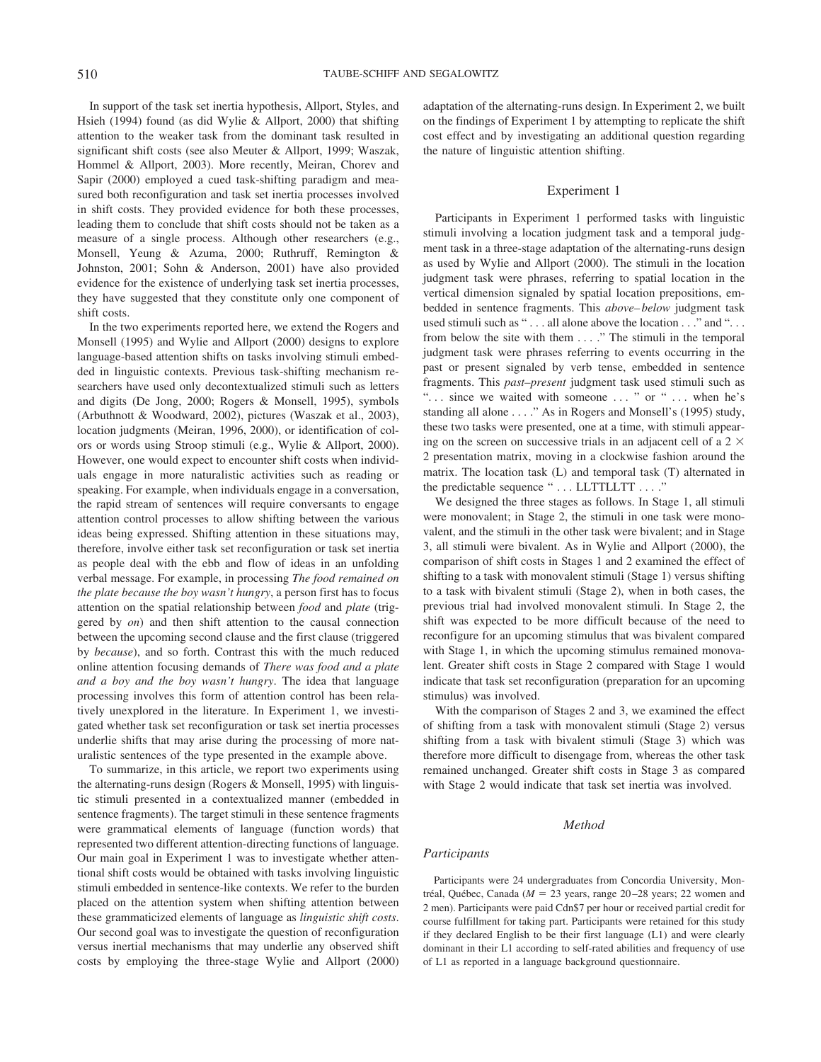In support of the task set inertia hypothesis, Allport, Styles, and Hsieh (1994) found (as did Wylie & Allport, 2000) that shifting attention to the weaker task from the dominant task resulted in significant shift costs (see also Meuter & Allport, 1999; Waszak, Hommel & Allport, 2003). More recently, Meiran, Chorev and Sapir (2000) employed a cued task-shifting paradigm and measured both reconfiguration and task set inertia processes involved in shift costs. They provided evidence for both these processes, leading them to conclude that shift costs should not be taken as a measure of a single process. Although other researchers (e.g., Monsell, Yeung & Azuma, 2000; Ruthruff, Remington & Johnston, 2001; Sohn & Anderson, 2001) have also provided evidence for the existence of underlying task set inertia processes, they have suggested that they constitute only one component of shift costs.

In the two experiments reported here, we extend the Rogers and Monsell (1995) and Wylie and Allport (2000) designs to explore language-based attention shifts on tasks involving stimuli embedded in linguistic contexts. Previous task-shifting mechanism researchers have used only decontextualized stimuli such as letters and digits (De Jong, 2000; Rogers & Monsell, 1995), symbols (Arbuthnott & Woodward, 2002), pictures (Waszak et al., 2003), location judgments (Meiran, 1996, 2000), or identification of colors or words using Stroop stimuli (e.g., Wylie & Allport, 2000). However, one would expect to encounter shift costs when individuals engage in more naturalistic activities such as reading or speaking. For example, when individuals engage in a conversation, the rapid stream of sentences will require conversants to engage attention control processes to allow shifting between the various ideas being expressed. Shifting attention in these situations may, therefore, involve either task set reconfiguration or task set inertia as people deal with the ebb and flow of ideas in an unfolding verbal message. For example, in processing *The food remained on the plate because the boy wasn't hungry*, a person first has to focus attention on the spatial relationship between *food* and *plate* (triggered by *on*) and then shift attention to the causal connection between the upcoming second clause and the first clause (triggered by *because*), and so forth. Contrast this with the much reduced online attention focusing demands of *There was food and a plate and a boy and the boy wasn't hungry*. The idea that language processing involves this form of attention control has been relatively unexplored in the literature. In Experiment 1, we investigated whether task set reconfiguration or task set inertia processes underlie shifts that may arise during the processing of more naturalistic sentences of the type presented in the example above.

To summarize, in this article, we report two experiments using the alternating-runs design (Rogers & Monsell, 1995) with linguistic stimuli presented in a contextualized manner (embedded in sentence fragments). The target stimuli in these sentence fragments were grammatical elements of language (function words) that represented two different attention-directing functions of language. Our main goal in Experiment 1 was to investigate whether attentional shift costs would be obtained with tasks involving linguistic stimuli embedded in sentence-like contexts. We refer to the burden placed on the attention system when shifting attention between these grammaticized elements of language as *linguistic shift costs*. Our second goal was to investigate the question of reconfiguration versus inertial mechanisms that may underlie any observed shift costs by employing the three-stage Wylie and Allport (2000)

adaptation of the alternating-runs design. In Experiment 2, we built on the findings of Experiment 1 by attempting to replicate the shift cost effect and by investigating an additional question regarding the nature of linguistic attention shifting.

## Experiment 1

Participants in Experiment 1 performed tasks with linguistic stimuli involving a location judgment task and a temporal judgment task in a three-stage adaptation of the alternating-runs design as used by Wylie and Allport (2000). The stimuli in the location judgment task were phrases, referring to spatial location in the vertical dimension signaled by spatial location prepositions, embedded in sentence fragments. This *above–below* judgment task used stimuli such as "... all alone above the location ..." and "... from below the site with them . . . ." The stimuli in the temporal judgment task were phrases referring to events occurring in the past or present signaled by verb tense, embedded in sentence fragments. This *past–present* judgment task used stimuli such as "... since we waited with someone ... " or " ... when he's standing all alone . . . ." As in Rogers and Monsell's (1995) study, these two tasks were presented, one at a time, with stimuli appearing on the screen on successive trials in an adjacent cell of a  $2 \times$ 2 presentation matrix, moving in a clockwise fashion around the matrix. The location task (L) and temporal task (T) alternated in the predictable sequence " . . . LLTTLLTT . . . ."

We designed the three stages as follows. In Stage 1, all stimuli were monovalent; in Stage 2, the stimuli in one task were monovalent, and the stimuli in the other task were bivalent; and in Stage 3, all stimuli were bivalent. As in Wylie and Allport (2000), the comparison of shift costs in Stages 1 and 2 examined the effect of shifting to a task with monovalent stimuli (Stage 1) versus shifting to a task with bivalent stimuli (Stage 2), when in both cases, the previous trial had involved monovalent stimuli. In Stage 2, the shift was expected to be more difficult because of the need to reconfigure for an upcoming stimulus that was bivalent compared with Stage 1, in which the upcoming stimulus remained monovalent. Greater shift costs in Stage 2 compared with Stage 1 would indicate that task set reconfiguration (preparation for an upcoming stimulus) was involved.

With the comparison of Stages 2 and 3, we examined the effect of shifting from a task with monovalent stimuli (Stage 2) versus shifting from a task with bivalent stimuli (Stage 3) which was therefore more difficult to disengage from, whereas the other task remained unchanged. Greater shift costs in Stage 3 as compared with Stage 2 would indicate that task set inertia was involved.

## *Method*

## *Participants*

Participants were 24 undergraduates from Concordia University, Montréal, Québec, Canada ( $M = 23$  years, range 20–28 years; 22 women and 2 men). Participants were paid Cdn\$7 per hour or received partial credit for course fulfillment for taking part. Participants were retained for this study if they declared English to be their first language (L1) and were clearly dominant in their L1 according to self-rated abilities and frequency of use of L1 as reported in a language background questionnaire.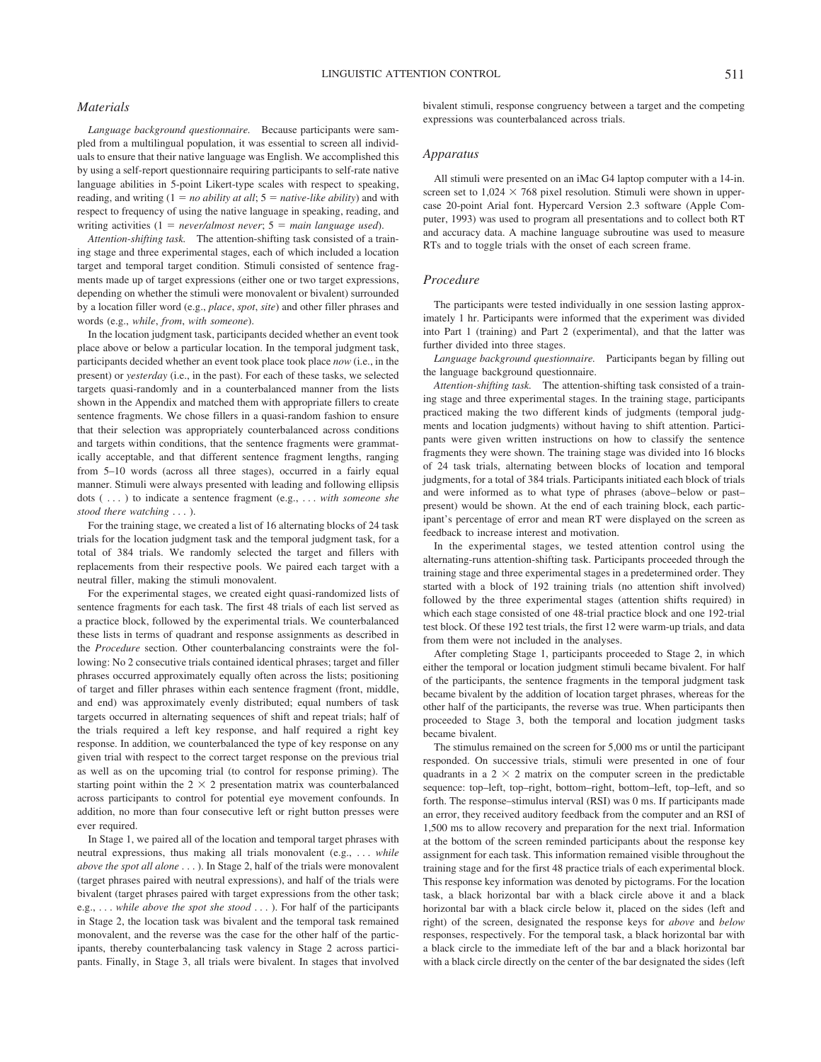#### *Materials*

*Language background questionnaire.* Because participants were sampled from a multilingual population, it was essential to screen all individuals to ensure that their native language was English. We accomplished this by using a self-report questionnaire requiring participants to self-rate native language abilities in 5-point Likert-type scales with respect to speaking, reading, and writing  $(1 = no \, ability \, at \, all; 5 = native-like \, ability)$  and with respect to frequency of using the native language in speaking, reading, and writing activities  $(1 = never/almost never; 5 = main language used)$ .

*Attention-shifting task.* The attention-shifting task consisted of a training stage and three experimental stages, each of which included a location target and temporal target condition. Stimuli consisted of sentence fragments made up of target expressions (either one or two target expressions, depending on whether the stimuli were monovalent or bivalent) surrounded by a location filler word (e.g., *place*, *spot*, *site*) and other filler phrases and words (e.g., *while*, *from*, *with someone*).

In the location judgment task, participants decided whether an event took place above or below a particular location. In the temporal judgment task, participants decided whether an event took place took place *now* (i.e., in the present) or *yesterday* (i.e., in the past). For each of these tasks, we selected targets quasi-randomly and in a counterbalanced manner from the lists shown in the Appendix and matched them with appropriate fillers to create sentence fragments. We chose fillers in a quasi-random fashion to ensure that their selection was appropriately counterbalanced across conditions and targets within conditions, that the sentence fragments were grammatically acceptable, and that different sentence fragment lengths, ranging from 5–10 words (across all three stages), occurred in a fairly equal manner. Stimuli were always presented with leading and following ellipsis dots ( . . . ) to indicate a sentence fragment (e.g., . . . *with someone she stood there watching* ... ).

For the training stage, we created a list of 16 alternating blocks of 24 task trials for the location judgment task and the temporal judgment task, for a total of 384 trials. We randomly selected the target and fillers with replacements from their respective pools. We paired each target with a neutral filler, making the stimuli monovalent.

For the experimental stages, we created eight quasi-randomized lists of sentence fragments for each task. The first 48 trials of each list served as a practice block, followed by the experimental trials. We counterbalanced these lists in terms of quadrant and response assignments as described in the *Procedure* section. Other counterbalancing constraints were the following: No 2 consecutive trials contained identical phrases; target and filler phrases occurred approximately equally often across the lists; positioning of target and filler phrases within each sentence fragment (front, middle, and end) was approximately evenly distributed; equal numbers of task targets occurred in alternating sequences of shift and repeat trials; half of the trials required a left key response, and half required a right key response. In addition, we counterbalanced the type of key response on any given trial with respect to the correct target response on the previous trial as well as on the upcoming trial (to control for response priming). The starting point within the  $2 \times 2$  presentation matrix was counterbalanced across participants to control for potential eye movement confounds. In addition, no more than four consecutive left or right button presses were ever required.

In Stage 1, we paired all of the location and temporal target phrases with neutral expressions, thus making all trials monovalent (e.g., . . . *while above the spot all alone* . . . ). In Stage 2, half of the trials were monovalent (target phrases paired with neutral expressions), and half of the trials were bivalent (target phrases paired with target expressions from the other task; e.g., . . . *while above the spot she stood* . . . ). For half of the participants in Stage 2, the location task was bivalent and the temporal task remained monovalent, and the reverse was the case for the other half of the participants, thereby counterbalancing task valency in Stage 2 across participants. Finally, in Stage 3, all trials were bivalent. In stages that involved

bivalent stimuli, response congruency between a target and the competing expressions was counterbalanced across trials.

#### *Apparatus*

All stimuli were presented on an iMac G4 laptop computer with a 14-in. screen set to  $1,024 \times 768$  pixel resolution. Stimuli were shown in uppercase 20-point Arial font. Hypercard Version 2.3 software (Apple Computer, 1993) was used to program all presentations and to collect both RT and accuracy data. A machine language subroutine was used to measure RTs and to toggle trials with the onset of each screen frame.

### *Procedure*

The participants were tested individually in one session lasting approximately 1 hr. Participants were informed that the experiment was divided into Part 1 (training) and Part 2 (experimental), and that the latter was further divided into three stages.

*Language background questionnaire.* Participants began by filling out the language background questionnaire.

*Attention-shifting task.* The attention-shifting task consisted of a training stage and three experimental stages. In the training stage, participants practiced making the two different kinds of judgments (temporal judgments and location judgments) without having to shift attention. Participants were given written instructions on how to classify the sentence fragments they were shown. The training stage was divided into 16 blocks of 24 task trials, alternating between blocks of location and temporal judgments, for a total of 384 trials. Participants initiated each block of trials and were informed as to what type of phrases (above–below or past– present) would be shown. At the end of each training block, each participant's percentage of error and mean RT were displayed on the screen as feedback to increase interest and motivation.

In the experimental stages, we tested attention control using the alternating-runs attention-shifting task. Participants proceeded through the training stage and three experimental stages in a predetermined order. They started with a block of 192 training trials (no attention shift involved) followed by the three experimental stages (attention shifts required) in which each stage consisted of one 48-trial practice block and one 192-trial test block. Of these 192 test trials, the first 12 were warm-up trials, and data from them were not included in the analyses.

After completing Stage 1, participants proceeded to Stage 2, in which either the temporal or location judgment stimuli became bivalent. For half of the participants, the sentence fragments in the temporal judgment task became bivalent by the addition of location target phrases, whereas for the other half of the participants, the reverse was true. When participants then proceeded to Stage 3, both the temporal and location judgment tasks became bivalent.

The stimulus remained on the screen for 5,000 ms or until the participant responded. On successive trials, stimuli were presented in one of four quadrants in a  $2 \times 2$  matrix on the computer screen in the predictable sequence: top–left, top–right, bottom–right, bottom–left, top–left, and so forth. The response–stimulus interval (RSI) was 0 ms. If participants made an error, they received auditory feedback from the computer and an RSI of 1,500 ms to allow recovery and preparation for the next trial. Information at the bottom of the screen reminded participants about the response key assignment for each task. This information remained visible throughout the training stage and for the first 48 practice trials of each experimental block. This response key information was denoted by pictograms. For the location task, a black horizontal bar with a black circle above it and a black horizontal bar with a black circle below it, placed on the sides (left and right) of the screen, designated the response keys for *above* and *below* responses, respectively. For the temporal task, a black horizontal bar with a black circle to the immediate left of the bar and a black horizontal bar with a black circle directly on the center of the bar designated the sides (left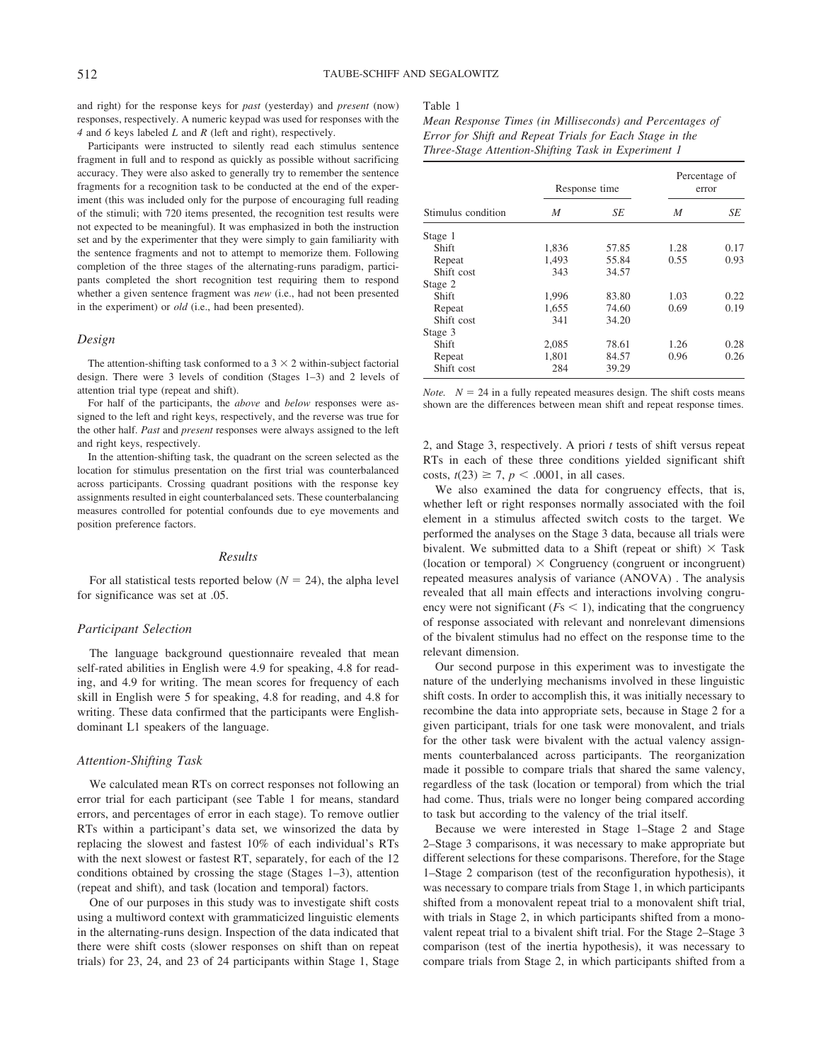and right) for the response keys for *past* (yesterday) and *present* (now) responses, respectively. A numeric keypad was used for responses with the *4* and *6* keys labeled *L* and *R* (left and right), respectively.

Participants were instructed to silently read each stimulus sentence fragment in full and to respond as quickly as possible without sacrificing accuracy. They were also asked to generally try to remember the sentence fragments for a recognition task to be conducted at the end of the experiment (this was included only for the purpose of encouraging full reading of the stimuli; with 720 items presented, the recognition test results were not expected to be meaningful). It was emphasized in both the instruction set and by the experimenter that they were simply to gain familiarity with the sentence fragments and not to attempt to memorize them. Following completion of the three stages of the alternating-runs paradigm, participants completed the short recognition test requiring them to respond whether a given sentence fragment was *new* (i.e., had not been presented in the experiment) or *old* (i.e., had been presented).

#### *Design*

The attention-shifting task conformed to a  $3 \times 2$  within-subject factorial design. There were 3 levels of condition (Stages 1–3) and 2 levels of attention trial type (repeat and shift).

For half of the participants, the *above* and *below* responses were assigned to the left and right keys, respectively, and the reverse was true for the other half. *Past* and *present* responses were always assigned to the left and right keys, respectively.

In the attention-shifting task, the quadrant on the screen selected as the location for stimulus presentation on the first trial was counterbalanced across participants. Crossing quadrant positions with the response key assignments resulted in eight counterbalanced sets. These counterbalancing measures controlled for potential confounds due to eye movements and position preference factors.

#### *Results*

For all statistical tests reported below ( $N = 24$ ), the alpha level for significance was set at .05.

#### *Participant Selection*

The language background questionnaire revealed that mean self-rated abilities in English were 4.9 for speaking, 4.8 for reading, and 4.9 for writing. The mean scores for frequency of each skill in English were 5 for speaking, 4.8 for reading, and 4.8 for writing. These data confirmed that the participants were Englishdominant L1 speakers of the language.

### *Attention-Shifting Task*

We calculated mean RTs on correct responses not following an error trial for each participant (see Table 1 for means, standard errors, and percentages of error in each stage). To remove outlier RTs within a participant's data set, we winsorized the data by replacing the slowest and fastest 10% of each individual's RTs with the next slowest or fastest RT, separately, for each of the 12 conditions obtained by crossing the stage (Stages 1–3), attention (repeat and shift), and task (location and temporal) factors.

One of our purposes in this study was to investigate shift costs using a multiword context with grammaticized linguistic elements in the alternating-runs design. Inspection of the data indicated that there were shift costs (slower responses on shift than on repeat trials) for 23, 24, and 23 of 24 participants within Stage 1, Stage

#### Table 1

| Mean Response Times (in Milliseconds) and Percentages of |  |
|----------------------------------------------------------|--|
| Error for Shift and Repeat Trials for Each Stage in the  |  |
| Three-Stage Attention-Shifting Task in Experiment 1      |  |

|                    | Response time |       | Percentage of<br>error |      |
|--------------------|---------------|-------|------------------------|------|
| Stimulus condition | M             | SE    | M                      | SE   |
| Stage 1            |               |       |                        |      |
| Shift              | 1,836         | 57.85 | 1.28                   | 0.17 |
| Repeat             | 1.493         | 55.84 | 0.55                   | 0.93 |
| Shift cost         | 343           | 34.57 |                        |      |
| Stage 2            |               |       |                        |      |
| Shift              | 1,996         | 83.80 | 1.03                   | 0.22 |
| Repeat             | 1,655         | 74.60 | 0.69                   | 0.19 |
| Shift cost         | 341           | 34.20 |                        |      |
| Stage 3            |               |       |                        |      |
| Shift              | 2,085         | 78.61 | 1.26                   | 0.28 |
| Repeat             | 1.801         | 84.57 | 0.96                   | 0.26 |
| Shift cost         | 284           | 39.29 |                        |      |

*Note.*  $N = 24$  in a fully repeated measures design. The shift costs means shown are the differences between mean shift and repeat response times.

2, and Stage 3, respectively. A priori *t* tests of shift versus repeat RTs in each of these three conditions yielded significant shift costs,  $t(23) \ge 7$ ,  $p < .0001$ , in all cases.

We also examined the data for congruency effects, that is, whether left or right responses normally associated with the foil element in a stimulus affected switch costs to the target. We performed the analyses on the Stage 3 data, because all trials were bivalent. We submitted data to a Shift (repeat or shift)  $\times$  Task (location or temporal)  $\times$  Congruency (congruent or incongruent) repeated measures analysis of variance (ANOVA) . The analysis revealed that all main effects and interactions involving congruency were not significant ( $Fs < 1$ ), indicating that the congruency of response associated with relevant and nonrelevant dimensions of the bivalent stimulus had no effect on the response time to the relevant dimension.

Our second purpose in this experiment was to investigate the nature of the underlying mechanisms involved in these linguistic shift costs. In order to accomplish this, it was initially necessary to recombine the data into appropriate sets, because in Stage 2 for a given participant, trials for one task were monovalent, and trials for the other task were bivalent with the actual valency assignments counterbalanced across participants. The reorganization made it possible to compare trials that shared the same valency, regardless of the task (location or temporal) from which the trial had come. Thus, trials were no longer being compared according to task but according to the valency of the trial itself.

Because we were interested in Stage 1–Stage 2 and Stage 2–Stage 3 comparisons, it was necessary to make appropriate but different selections for these comparisons. Therefore, for the Stage 1–Stage 2 comparison (test of the reconfiguration hypothesis), it was necessary to compare trials from Stage 1, in which participants shifted from a monovalent repeat trial to a monovalent shift trial, with trials in Stage 2, in which participants shifted from a monovalent repeat trial to a bivalent shift trial. For the Stage 2–Stage 3 comparison (test of the inertia hypothesis), it was necessary to compare trials from Stage 2, in which participants shifted from a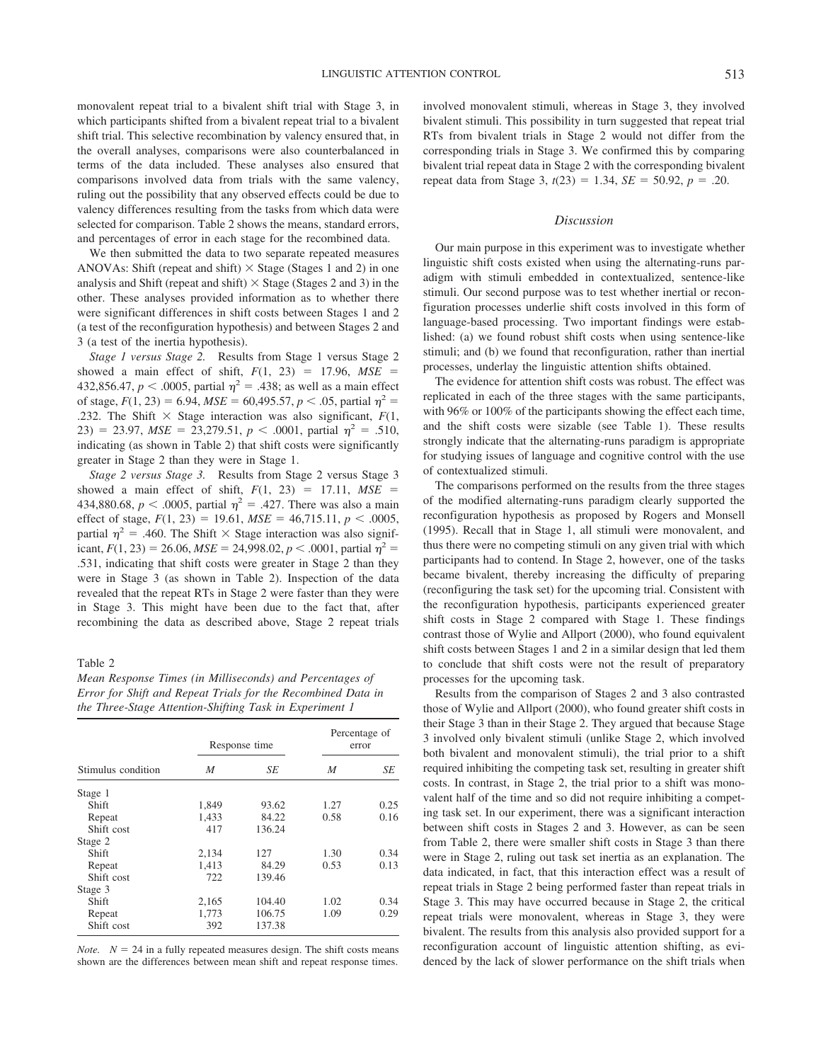monovalent repeat trial to a bivalent shift trial with Stage 3, in which participants shifted from a bivalent repeat trial to a bivalent shift trial. This selective recombination by valency ensured that, in the overall analyses, comparisons were also counterbalanced in terms of the data included. These analyses also ensured that comparisons involved data from trials with the same valency, ruling out the possibility that any observed effects could be due to valency differences resulting from the tasks from which data were selected for comparison. Table 2 shows the means, standard errors, and percentages of error in each stage for the recombined data.

We then submitted the data to two separate repeated measures ANOVAs: Shift (repeat and shift)  $\times$  Stage (Stages 1 and 2) in one analysis and Shift (repeat and shift)  $\times$  Stage (Stages 2 and 3) in the other. These analyses provided information as to whether there were significant differences in shift costs between Stages 1 and 2 (a test of the reconfiguration hypothesis) and between Stages 2 and 3 (a test of the inertia hypothesis).

*Stage 1 versus Stage 2.* Results from Stage 1 versus Stage 2 showed a main effect of shift,  $F(1, 23) = 17.96$ ,  $MSE =$ 432,856.47,  $p < .0005$ , partial  $\eta^2 = .438$ ; as well as a main effect of stage,  $F(1, 23) = 6.94$ ,  $MSE = 60,495.57$ ,  $p < .05$ , partial  $\eta^2 =$ .232. The Shift  $\times$  Stage interaction was also significant,  $F(1, \cdot)$ 23) = 23.97,  $MSE = 23,279.51, p < .0001$ , partial  $\eta^2 = .510$ , indicating (as shown in Table 2) that shift costs were significantly greater in Stage 2 than they were in Stage 1.

*Stage 2 versus Stage 3.* Results from Stage 2 versus Stage 3 showed a main effect of shift,  $F(1, 23) = 17.11$ ,  $MSE =$ 434,880.68,  $p < .0005$ , partial  $\eta^2 = .427$ . There was also a main effect of stage,  $F(1, 23) = 19.61$ ,  $MSE = 46,715.11$ ,  $p < .0005$ , partial  $\eta^2$  = .460. The Shift  $\times$  Stage interaction was also significant,  $F(1, 23) = 26.06$ ,  $MSE = 24,998.02$ ,  $p < .0001$ , partial  $\eta^2 =$ .531, indicating that shift costs were greater in Stage 2 than they were in Stage 3 (as shown in Table 2). Inspection of the data revealed that the repeat RTs in Stage 2 were faster than they were in Stage 3. This might have been due to the fact that, after recombining the data as described above, Stage 2 repeat trials

## Table 2

*Mean Response Times (in Milliseconds) and Percentages of Error for Shift and Repeat Trials for the Recombined Data in the Three-Stage Attention-Shifting Task in Experiment 1*

|                    | Response time |        | Percentage of<br>error |      |
|--------------------|---------------|--------|------------------------|------|
| Stimulus condition | M             | SE     | M                      | SЕ   |
| Stage 1            |               |        |                        |      |
| Shift              | 1.849         | 93.62  | 1.27                   | 0.25 |
| Repeat             | 1,433         | 84.22  | 0.58                   | 0.16 |
| Shift cost         | 417           | 136.24 |                        |      |
| Stage 2            |               |        |                        |      |
| Shift              | 2,134         | 127    | 1.30                   | 0.34 |
| Repeat             | 1,413         | 84.29  | 0.53                   | 0.13 |
| Shift cost         | 722           | 139.46 |                        |      |
| Stage 3            |               |        |                        |      |
| Shift              | 2,165         | 104.40 | 1.02                   | 0.34 |
| Repeat             | 1,773         | 106.75 | 1.09                   | 0.29 |
| Shift cost         | 392           | 137.38 |                        |      |

*Note.*  $N = 24$  in a fully repeated measures design. The shift costs means shown are the differences between mean shift and repeat response times. involved monovalent stimuli, whereas in Stage 3, they involved bivalent stimuli. This possibility in turn suggested that repeat trial RTs from bivalent trials in Stage 2 would not differ from the corresponding trials in Stage 3. We confirmed this by comparing bivalent trial repeat data in Stage 2 with the corresponding bivalent repeat data from Stage 3,  $t(23) = 1.34$ ,  $SE = 50.92$ ,  $p = .20$ .

### *Discussion*

Our main purpose in this experiment was to investigate whether linguistic shift costs existed when using the alternating-runs paradigm with stimuli embedded in contextualized, sentence-like stimuli. Our second purpose was to test whether inertial or reconfiguration processes underlie shift costs involved in this form of language-based processing. Two important findings were established: (a) we found robust shift costs when using sentence-like stimuli; and (b) we found that reconfiguration, rather than inertial processes, underlay the linguistic attention shifts obtained.

The evidence for attention shift costs was robust. The effect was replicated in each of the three stages with the same participants, with 96% or 100% of the participants showing the effect each time, and the shift costs were sizable (see Table 1). These results strongly indicate that the alternating-runs paradigm is appropriate for studying issues of language and cognitive control with the use of contextualized stimuli.

The comparisons performed on the results from the three stages of the modified alternating-runs paradigm clearly supported the reconfiguration hypothesis as proposed by Rogers and Monsell (1995). Recall that in Stage 1, all stimuli were monovalent, and thus there were no competing stimuli on any given trial with which participants had to contend. In Stage 2, however, one of the tasks became bivalent, thereby increasing the difficulty of preparing (reconfiguring the task set) for the upcoming trial. Consistent with the reconfiguration hypothesis, participants experienced greater shift costs in Stage 2 compared with Stage 1. These findings contrast those of Wylie and Allport (2000), who found equivalent shift costs between Stages 1 and 2 in a similar design that led them to conclude that shift costs were not the result of preparatory processes for the upcoming task.

Results from the comparison of Stages 2 and 3 also contrasted those of Wylie and Allport (2000), who found greater shift costs in their Stage 3 than in their Stage 2. They argued that because Stage 3 involved only bivalent stimuli (unlike Stage 2, which involved both bivalent and monovalent stimuli), the trial prior to a shift required inhibiting the competing task set, resulting in greater shift costs. In contrast, in Stage 2, the trial prior to a shift was monovalent half of the time and so did not require inhibiting a competing task set. In our experiment, there was a significant interaction between shift costs in Stages 2 and 3. However, as can be seen from Table 2, there were smaller shift costs in Stage 3 than there were in Stage 2, ruling out task set inertia as an explanation. The data indicated, in fact, that this interaction effect was a result of repeat trials in Stage 2 being performed faster than repeat trials in Stage 3. This may have occurred because in Stage 2, the critical repeat trials were monovalent, whereas in Stage 3, they were bivalent. The results from this analysis also provided support for a reconfiguration account of linguistic attention shifting, as evidenced by the lack of slower performance on the shift trials when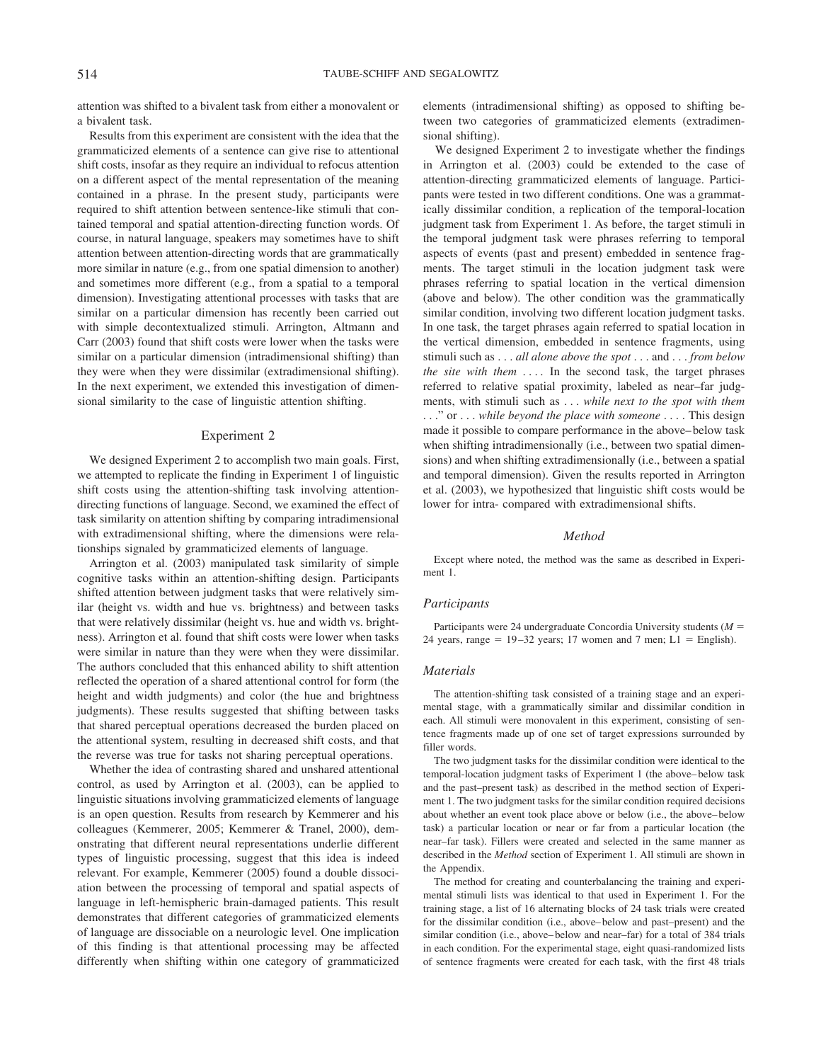attention was shifted to a bivalent task from either a monovalent or a bivalent task.

Results from this experiment are consistent with the idea that the grammaticized elements of a sentence can give rise to attentional shift costs, insofar as they require an individual to refocus attention on a different aspect of the mental representation of the meaning contained in a phrase. In the present study, participants were required to shift attention between sentence-like stimuli that contained temporal and spatial attention-directing function words. Of course, in natural language, speakers may sometimes have to shift attention between attention-directing words that are grammatically more similar in nature (e.g., from one spatial dimension to another) and sometimes more different (e.g., from a spatial to a temporal dimension). Investigating attentional processes with tasks that are similar on a particular dimension has recently been carried out with simple decontextualized stimuli. Arrington, Altmann and Carr (2003) found that shift costs were lower when the tasks were similar on a particular dimension (intradimensional shifting) than they were when they were dissimilar (extradimensional shifting). In the next experiment, we extended this investigation of dimensional similarity to the case of linguistic attention shifting.

### Experiment 2

We designed Experiment 2 to accomplish two main goals. First, we attempted to replicate the finding in Experiment 1 of linguistic shift costs using the attention-shifting task involving attentiondirecting functions of language. Second, we examined the effect of task similarity on attention shifting by comparing intradimensional with extradimensional shifting, where the dimensions were relationships signaled by grammaticized elements of language.

Arrington et al. (2003) manipulated task similarity of simple cognitive tasks within an attention-shifting design. Participants shifted attention between judgment tasks that were relatively similar (height vs. width and hue vs. brightness) and between tasks that were relatively dissimilar (height vs. hue and width vs. brightness). Arrington et al. found that shift costs were lower when tasks were similar in nature than they were when they were dissimilar. The authors concluded that this enhanced ability to shift attention reflected the operation of a shared attentional control for form (the height and width judgments) and color (the hue and brightness judgments). These results suggested that shifting between tasks that shared perceptual operations decreased the burden placed on the attentional system, resulting in decreased shift costs, and that the reverse was true for tasks not sharing perceptual operations.

Whether the idea of contrasting shared and unshared attentional control, as used by Arrington et al. (2003), can be applied to linguistic situations involving grammaticized elements of language is an open question. Results from research by Kemmerer and his colleagues (Kemmerer, 2005; Kemmerer & Tranel, 2000), demonstrating that different neural representations underlie different types of linguistic processing, suggest that this idea is indeed relevant. For example, Kemmerer (2005) found a double dissociation between the processing of temporal and spatial aspects of language in left-hemispheric brain-damaged patients. This result demonstrates that different categories of grammaticized elements of language are dissociable on a neurologic level. One implication of this finding is that attentional processing may be affected differently when shifting within one category of grammaticized

elements (intradimensional shifting) as opposed to shifting between two categories of grammaticized elements (extradimensional shifting).

We designed Experiment 2 to investigate whether the findings in Arrington et al. (2003) could be extended to the case of attention-directing grammaticized elements of language. Participants were tested in two different conditions. One was a grammatically dissimilar condition, a replication of the temporal-location judgment task from Experiment 1. As before, the target stimuli in the temporal judgment task were phrases referring to temporal aspects of events (past and present) embedded in sentence fragments. The target stimuli in the location judgment task were phrases referring to spatial location in the vertical dimension (above and below). The other condition was the grammatically similar condition, involving two different location judgment tasks. In one task, the target phrases again referred to spatial location in the vertical dimension, embedded in sentence fragments, using stimuli such as . . . *all alone above the spot* ...and ... *from below the site with them* ... *.* In the second task, the target phrases referred to relative spatial proximity, labeled as near–far judgments, with stimuli such as . . . *while next to the spot with them* ..." or ... *while beyond the place with someone* . . . . This design made it possible to compare performance in the above–below task when shifting intradimensionally (i.e., between two spatial dimensions) and when shifting extradimensionally (i.e., between a spatial and temporal dimension). Given the results reported in Arrington et al. (2003), we hypothesized that linguistic shift costs would be lower for intra- compared with extradimensional shifts.

## *Method*

Except where noted, the method was the same as described in Experiment 1.

#### *Participants*

Participants were 24 undergraduate Concordia University students  $(M =$ 24 years, range  $= 19-32$  years; 17 women and 7 men; L1  $=$  English).

#### *Materials*

The attention-shifting task consisted of a training stage and an experimental stage, with a grammatically similar and dissimilar condition in each. All stimuli were monovalent in this experiment, consisting of sentence fragments made up of one set of target expressions surrounded by filler words.

The two judgment tasks for the dissimilar condition were identical to the temporal-location judgment tasks of Experiment 1 (the above–below task and the past–present task) as described in the method section of Experiment 1. The two judgment tasks for the similar condition required decisions about whether an event took place above or below (i.e., the above–below task) a particular location or near or far from a particular location (the near–far task). Fillers were created and selected in the same manner as described in the *Method* section of Experiment 1. All stimuli are shown in the Appendix.

The method for creating and counterbalancing the training and experimental stimuli lists was identical to that used in Experiment 1. For the training stage, a list of 16 alternating blocks of 24 task trials were created for the dissimilar condition (i.e., above–below and past–present) and the similar condition (i.e., above–below and near–far) for a total of 384 trials in each condition. For the experimental stage, eight quasi-randomized lists of sentence fragments were created for each task, with the first 48 trials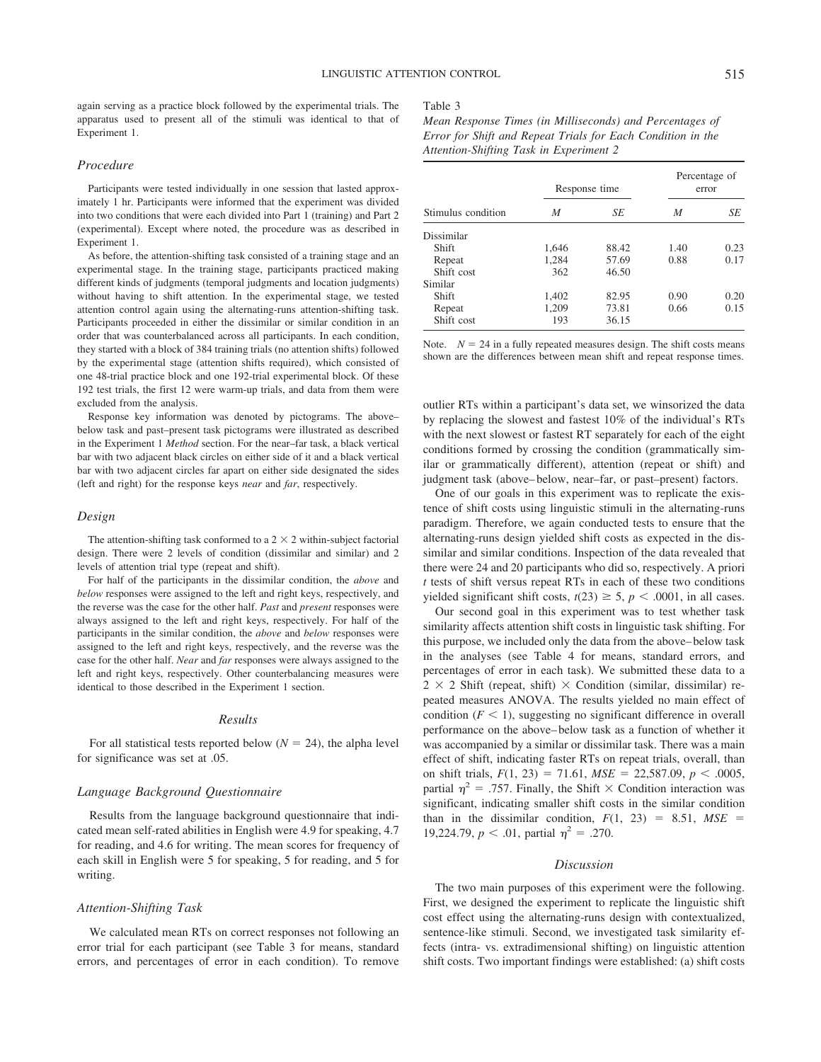again serving as a practice block followed by the experimental trials. The apparatus used to present all of the stimuli was identical to that of Experiment 1.

#### *Procedure*

Participants were tested individually in one session that lasted approximately 1 hr. Participants were informed that the experiment was divided into two conditions that were each divided into Part 1 (training) and Part 2 (experimental). Except where noted, the procedure was as described in Experiment 1.

As before, the attention-shifting task consisted of a training stage and an experimental stage. In the training stage, participants practiced making different kinds of judgments (temporal judgments and location judgments) without having to shift attention. In the experimental stage, we tested attention control again using the alternating-runs attention-shifting task. Participants proceeded in either the dissimilar or similar condition in an order that was counterbalanced across all participants. In each condition, they started with a block of 384 training trials (no attention shifts) followed by the experimental stage (attention shifts required), which consisted of one 48-trial practice block and one 192-trial experimental block. Of these 192 test trials, the first 12 were warm-up trials, and data from them were excluded from the analysis.

Response key information was denoted by pictograms. The above– below task and past–present task pictograms were illustrated as described in the Experiment 1 *Method* section. For the near–far task, a black vertical bar with two adjacent black circles on either side of it and a black vertical bar with two adjacent circles far apart on either side designated the sides (left and right) for the response keys *near* and *far*, respectively.

#### *Design*

The attention-shifting task conformed to a  $2 \times 2$  within-subject factorial design. There were 2 levels of condition (dissimilar and similar) and 2 levels of attention trial type (repeat and shift).

For half of the participants in the dissimilar condition, the *above* and *below* responses were assigned to the left and right keys, respectively, and the reverse was the case for the other half. *Past* and *present* responses were always assigned to the left and right keys, respectively. For half of the participants in the similar condition, the *above* and *below* responses were assigned to the left and right keys, respectively, and the reverse was the case for the other half. *Near* and *far* responses were always assigned to the left and right keys, respectively. Other counterbalancing measures were identical to those described in the Experiment 1 section.

#### *Results*

For all statistical tests reported below  $(N = 24)$ , the alpha level for significance was set at .05.

#### *Language Background Questionnaire*

Results from the language background questionnaire that indicated mean self-rated abilities in English were 4.9 for speaking, 4.7 for reading, and 4.6 for writing. The mean scores for frequency of each skill in English were 5 for speaking, 5 for reading, and 5 for writing.

## *Attention-Shifting Task*

We calculated mean RTs on correct responses not following an error trial for each participant (see Table 3 for means, standard errors, and percentages of error in each condition). To remove

## Table 3

*Mean Response Times (in Milliseconds) and Percentages of Error for Shift and Repeat Trials for Each Condition in the Attention-Shifting Task in Experiment 2*

|                    | Response time |       | Percentage of<br>error |      |
|--------------------|---------------|-------|------------------------|------|
| Stimulus condition | M             | SE    | M                      | SE   |
| Dissimilar         |               |       |                        |      |
| Shift              | 1,646         | 88.42 | 1.40                   | 0.23 |
| Repeat             | 1,284         | 57.69 | 0.88                   | 0.17 |
| Shift cost         | 362           | 46.50 |                        |      |
| Similar            |               |       |                        |      |
| Shift              | 1,402         | 82.95 | 0.90                   | 0.20 |
| Repeat             | 1,209         | 73.81 | 0.66                   | 0.15 |
| Shift cost         | 193           | 36.15 |                        |      |

Note.  $N = 24$  in a fully repeated measures design. The shift costs means shown are the differences between mean shift and repeat response times.

outlier RTs within a participant's data set, we winsorized the data by replacing the slowest and fastest 10% of the individual's RTs with the next slowest or fastest RT separately for each of the eight conditions formed by crossing the condition (grammatically similar or grammatically different), attention (repeat or shift) and judgment task (above–below, near–far, or past–present) factors.

One of our goals in this experiment was to replicate the existence of shift costs using linguistic stimuli in the alternating-runs paradigm. Therefore, we again conducted tests to ensure that the alternating-runs design yielded shift costs as expected in the dissimilar and similar conditions. Inspection of the data revealed that there were 24 and 20 participants who did so, respectively. A priori *t* tests of shift versus repeat RTs in each of these two conditions yielded significant shift costs,  $t(23) \ge 5$ ,  $p < .0001$ , in all cases.

Our second goal in this experiment was to test whether task similarity affects attention shift costs in linguistic task shifting. For this purpose, we included only the data from the above–below task in the analyses (see Table 4 for means, standard errors, and percentages of error in each task). We submitted these data to a  $2 \times 2$  Shift (repeat, shift)  $\times$  Condition (similar, dissimilar) repeated measures ANOVA. The results yielded no main effect of condition  $(F < 1)$ , suggesting no significant difference in overall performance on the above–below task as a function of whether it was accompanied by a similar or dissimilar task. There was a main effect of shift, indicating faster RTs on repeat trials, overall, than on shift trials,  $F(1, 23) = 71.61$ ,  $MSE = 22,587.09$ ,  $p < .0005$ , partial  $\eta^2$  = .757. Finally, the Shift  $\times$  Condition interaction was significant, indicating smaller shift costs in the similar condition than in the dissimilar condition,  $F(1, 23) = 8.51$ ,  $MSE =$ 19,224.79,  $p < .01$ , partial  $\eta^2 = .270$ .

## *Discussion*

The two main purposes of this experiment were the following. First, we designed the experiment to replicate the linguistic shift cost effect using the alternating-runs design with contextualized, sentence-like stimuli. Second, we investigated task similarity effects (intra- vs. extradimensional shifting) on linguistic attention shift costs. Two important findings were established: (a) shift costs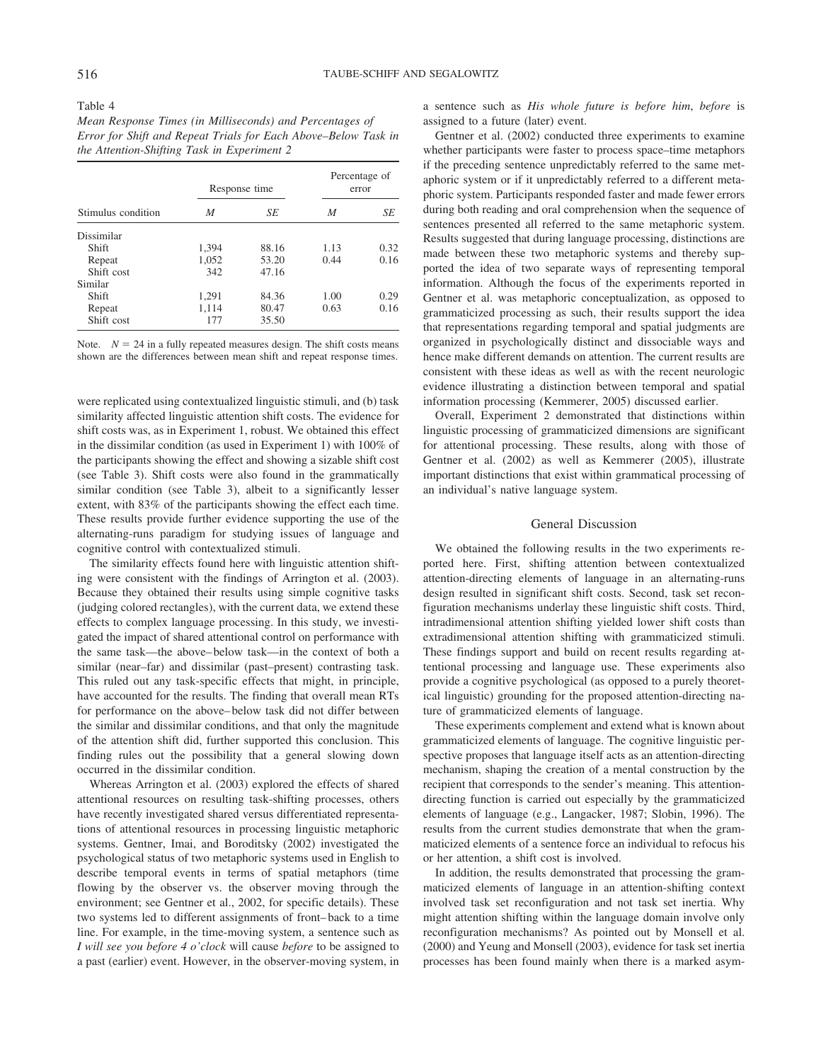Table 4

*Mean Response Times (in Milliseconds) and Percentages of Error for Shift and Repeat Trials for Each Above–Below Task in the Attention-Shifting Task in Experiment 2*

|                    | Response time |       | Percentage of<br>error |      |
|--------------------|---------------|-------|------------------------|------|
| Stimulus condition | M             | SE    | M                      | SE   |
| Dissimilar         |               |       |                        |      |
| Shift              | 1,394         | 88.16 | 1.13                   | 0.32 |
| Repeat             | 1,052         | 53.20 | 0.44                   | 0.16 |
| Shift cost         | 342           | 47.16 |                        |      |
| Similar            |               |       |                        |      |
| Shift              | 1,291         | 84.36 | 1.00                   | 0.29 |
| Repeat             | 1,114         | 80.47 | 0.63                   | 0.16 |
| Shift cost         | 177           | 35.50 |                        |      |

Note.  $N = 24$  in a fully repeated measures design. The shift costs means shown are the differences between mean shift and repeat response times.

were replicated using contextualized linguistic stimuli, and (b) task similarity affected linguistic attention shift costs. The evidence for shift costs was, as in Experiment 1, robust. We obtained this effect in the dissimilar condition (as used in Experiment 1) with 100% of the participants showing the effect and showing a sizable shift cost (see Table 3). Shift costs were also found in the grammatically similar condition (see Table 3), albeit to a significantly lesser extent, with 83% of the participants showing the effect each time. These results provide further evidence supporting the use of the alternating-runs paradigm for studying issues of language and cognitive control with contextualized stimuli.

The similarity effects found here with linguistic attention shifting were consistent with the findings of Arrington et al. (2003). Because they obtained their results using simple cognitive tasks (judging colored rectangles), with the current data, we extend these effects to complex language processing. In this study, we investigated the impact of shared attentional control on performance with the same task—the above–below task—in the context of both a similar (near–far) and dissimilar (past–present) contrasting task. This ruled out any task-specific effects that might, in principle, have accounted for the results. The finding that overall mean RTs for performance on the above–below task did not differ between the similar and dissimilar conditions, and that only the magnitude of the attention shift did, further supported this conclusion. This finding rules out the possibility that a general slowing down occurred in the dissimilar condition.

Whereas Arrington et al. (2003) explored the effects of shared attentional resources on resulting task-shifting processes, others have recently investigated shared versus differentiated representations of attentional resources in processing linguistic metaphoric systems. Gentner, Imai, and Boroditsky (2002) investigated the psychological status of two metaphoric systems used in English to describe temporal events in terms of spatial metaphors (time flowing by the observer vs. the observer moving through the environment; see Gentner et al., 2002, for specific details). These two systems led to different assignments of front–back to a time line. For example, in the time-moving system, a sentence such as *I will see you before 4 o'clock* will cause *before* to be assigned to a past (earlier) event. However, in the observer-moving system, in

a sentence such as *His whole future is before him*, *before* is assigned to a future (later) event.

Gentner et al. (2002) conducted three experiments to examine whether participants were faster to process space–time metaphors if the preceding sentence unpredictably referred to the same metaphoric system or if it unpredictably referred to a different metaphoric system. Participants responded faster and made fewer errors during both reading and oral comprehension when the sequence of sentences presented all referred to the same metaphoric system. Results suggested that during language processing, distinctions are made between these two metaphoric systems and thereby supported the idea of two separate ways of representing temporal information. Although the focus of the experiments reported in Gentner et al. was metaphoric conceptualization, as opposed to grammaticized processing as such, their results support the idea that representations regarding temporal and spatial judgments are organized in psychologically distinct and dissociable ways and hence make different demands on attention. The current results are consistent with these ideas as well as with the recent neurologic evidence illustrating a distinction between temporal and spatial information processing (Kemmerer, 2005) discussed earlier.

Overall, Experiment 2 demonstrated that distinctions within linguistic processing of grammaticized dimensions are significant for attentional processing. These results, along with those of Gentner et al. (2002) as well as Kemmerer (2005), illustrate important distinctions that exist within grammatical processing of an individual's native language system.

## General Discussion

We obtained the following results in the two experiments reported here. First, shifting attention between contextualized attention-directing elements of language in an alternating-runs design resulted in significant shift costs. Second, task set reconfiguration mechanisms underlay these linguistic shift costs. Third, intradimensional attention shifting yielded lower shift costs than extradimensional attention shifting with grammaticized stimuli. These findings support and build on recent results regarding attentional processing and language use. These experiments also provide a cognitive psychological (as opposed to a purely theoretical linguistic) grounding for the proposed attention-directing nature of grammaticized elements of language.

These experiments complement and extend what is known about grammaticized elements of language. The cognitive linguistic perspective proposes that language itself acts as an attention-directing mechanism, shaping the creation of a mental construction by the recipient that corresponds to the sender's meaning. This attentiondirecting function is carried out especially by the grammaticized elements of language (e.g., Langacker, 1987; Slobin, 1996). The results from the current studies demonstrate that when the grammaticized elements of a sentence force an individual to refocus his or her attention, a shift cost is involved.

In addition, the results demonstrated that processing the grammaticized elements of language in an attention-shifting context involved task set reconfiguration and not task set inertia. Why might attention shifting within the language domain involve only reconfiguration mechanisms? As pointed out by Monsell et al. (2000) and Yeung and Monsell (2003), evidence for task set inertia processes has been found mainly when there is a marked asym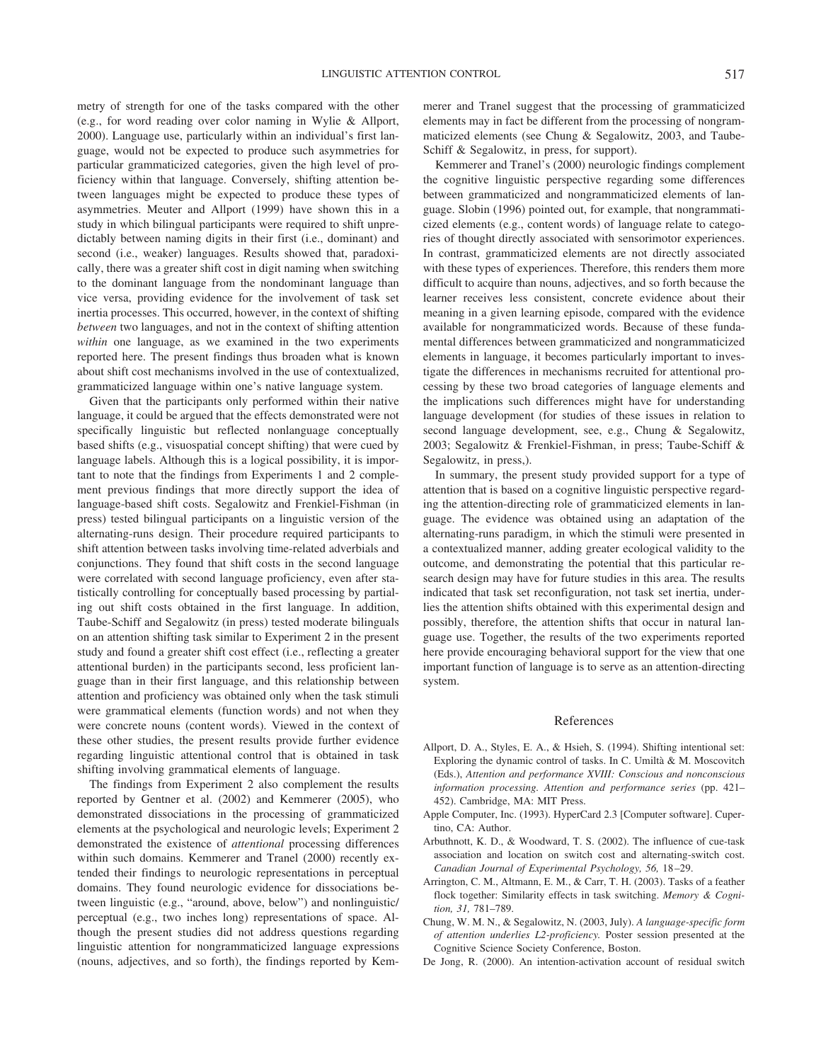metry of strength for one of the tasks compared with the other (e.g., for word reading over color naming in Wylie & Allport, 2000). Language use, particularly within an individual's first language, would not be expected to produce such asymmetries for particular grammaticized categories, given the high level of proficiency within that language. Conversely, shifting attention between languages might be expected to produce these types of asymmetries. Meuter and Allport (1999) have shown this in a study in which bilingual participants were required to shift unpredictably between naming digits in their first (i.e., dominant) and second (i.e., weaker) languages. Results showed that, paradoxically, there was a greater shift cost in digit naming when switching to the dominant language from the nondominant language than vice versa, providing evidence for the involvement of task set inertia processes. This occurred, however, in the context of shifting *between* two languages, and not in the context of shifting attention *within* one language, as we examined in the two experiments reported here. The present findings thus broaden what is known about shift cost mechanisms involved in the use of contextualized, grammaticized language within one's native language system.

Given that the participants only performed within their native language, it could be argued that the effects demonstrated were not specifically linguistic but reflected nonlanguage conceptually based shifts (e.g., visuospatial concept shifting) that were cued by language labels. Although this is a logical possibility, it is important to note that the findings from Experiments 1 and 2 complement previous findings that more directly support the idea of language-based shift costs. Segalowitz and Frenkiel-Fishman (in press) tested bilingual participants on a linguistic version of the alternating-runs design. Their procedure required participants to shift attention between tasks involving time-related adverbials and conjunctions. They found that shift costs in the second language were correlated with second language proficiency, even after statistically controlling for conceptually based processing by partialing out shift costs obtained in the first language. In addition, Taube-Schiff and Segalowitz (in press) tested moderate bilinguals on an attention shifting task similar to Experiment 2 in the present study and found a greater shift cost effect (i.e., reflecting a greater attentional burden) in the participants second, less proficient language than in their first language, and this relationship between attention and proficiency was obtained only when the task stimuli were grammatical elements (function words) and not when they were concrete nouns (content words). Viewed in the context of these other studies, the present results provide further evidence regarding linguistic attentional control that is obtained in task shifting involving grammatical elements of language.

The findings from Experiment 2 also complement the results reported by Gentner et al. (2002) and Kemmerer (2005), who demonstrated dissociations in the processing of grammaticized elements at the psychological and neurologic levels; Experiment 2 demonstrated the existence of *attentional* processing differences within such domains. Kemmerer and Tranel (2000) recently extended their findings to neurologic representations in perceptual domains. They found neurologic evidence for dissociations between linguistic (e.g., "around, above, below") and nonlinguistic/ perceptual (e.g., two inches long) representations of space. Although the present studies did not address questions regarding linguistic attention for nongrammaticized language expressions (nouns, adjectives, and so forth), the findings reported by Kemmerer and Tranel suggest that the processing of grammaticized elements may in fact be different from the processing of nongrammaticized elements (see Chung & Segalowitz, 2003, and Taube-Schiff & Segalowitz, in press, for support).

Kemmerer and Tranel's (2000) neurologic findings complement the cognitive linguistic perspective regarding some differences between grammaticized and nongrammaticized elements of language. Slobin (1996) pointed out, for example, that nongrammaticized elements (e.g., content words) of language relate to categories of thought directly associated with sensorimotor experiences. In contrast, grammaticized elements are not directly associated with these types of experiences. Therefore, this renders them more difficult to acquire than nouns, adjectives, and so forth because the learner receives less consistent, concrete evidence about their meaning in a given learning episode, compared with the evidence available for nongrammaticized words. Because of these fundamental differences between grammaticized and nongrammaticized elements in language, it becomes particularly important to investigate the differences in mechanisms recruited for attentional processing by these two broad categories of language elements and the implications such differences might have for understanding language development (for studies of these issues in relation to second language development, see, e.g., Chung & Segalowitz, 2003; Segalowitz & Frenkiel-Fishman, in press; Taube-Schiff & Segalowitz, in press,).

In summary, the present study provided support for a type of attention that is based on a cognitive linguistic perspective regarding the attention-directing role of grammaticized elements in language. The evidence was obtained using an adaptation of the alternating-runs paradigm, in which the stimuli were presented in a contextualized manner, adding greater ecological validity to the outcome, and demonstrating the potential that this particular research design may have for future studies in this area. The results indicated that task set reconfiguration, not task set inertia, underlies the attention shifts obtained with this experimental design and possibly, therefore, the attention shifts that occur in natural language use. Together, the results of the two experiments reported here provide encouraging behavioral support for the view that one important function of language is to serve as an attention-directing system.

#### References

- Allport, D. A., Styles, E. A., & Hsieh, S. (1994). Shifting intentional set: Exploring the dynamic control of tasks. In C. Umiltà & M. Moscovitch (Eds.), *Attention and performance XVIII: Conscious and nonconscious information processing. Attention and performance series* (pp. 421– 452). Cambridge, MA: MIT Press.
- Apple Computer, Inc. (1993). HyperCard 2.3 [Computer software]. Cupertino, CA: Author.
- Arbuthnott, K. D., & Woodward, T. S. (2002). The influence of cue-task association and location on switch cost and alternating-switch cost. *Canadian Journal of Experimental Psychology, 56,* 18–29.
- Arrington, C. M., Altmann, E. M., & Carr, T. H. (2003). Tasks of a feather flock together: Similarity effects in task switching. *Memory & Cognition, 31,* 781–789.
- Chung, W. M. N., & Segalowitz, N. (2003, July). *A language-specific form of attention underlies L2-proficiency.* Poster session presented at the Cognitive Science Society Conference, Boston.
- De Jong, R. (2000). An intention-activation account of residual switch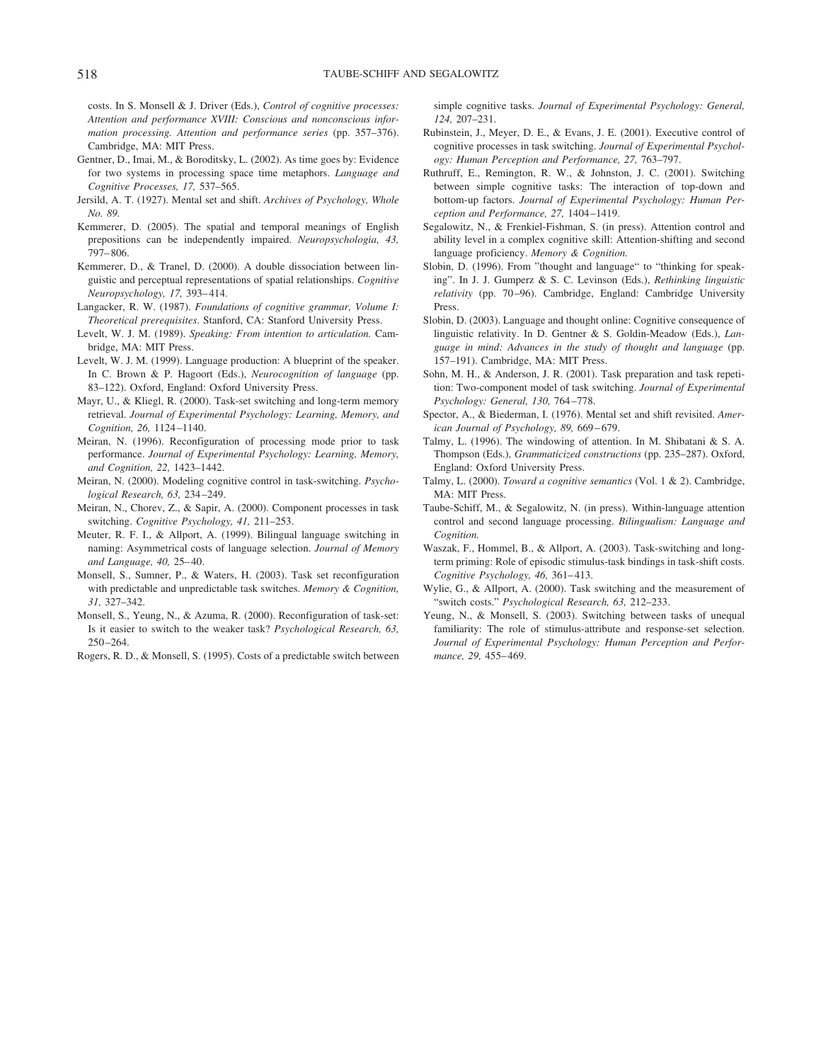costs. In S. Monsell & J. Driver (Eds.), *Control of cognitive processes: Attention and performance XVIII: Conscious and nonconscious information processing. Attention and performance series* (pp. 357–376). Cambridge, MA: MIT Press.

- Gentner, D., Imai, M., & Boroditsky, L. (2002). As time goes by: Evidence for two systems in processing space time metaphors. *Language and Cognitive Processes, 17,* 537–565.
- Jersild, A. T. (1927). Mental set and shift. *Archives of Psychology, Whole No. 89.*
- Kemmerer, D. (2005). The spatial and temporal meanings of English prepositions can be independently impaired. *Neuropsychologia, 43,* 797–806.
- Kemmerer, D., & Tranel, D. (2000). A double dissociation between linguistic and perceptual representations of spatial relationships. *Cognitive Neuropsychology, 17,* 393–414.
- Langacker, R. W. (1987). *Foundations of cognitive grammar, Volume I: Theoretical prerequisites*. Stanford, CA: Stanford University Press.
- Levelt, W. J. M. (1989). *Speaking: From intention to articulation.* Cambridge, MA: MIT Press.
- Levelt, W. J. M. (1999). Language production: A blueprint of the speaker. In C. Brown & P. Hagoort (Eds.), *Neurocognition of language* (pp. 83–122). Oxford, England: Oxford University Press.
- Mayr, U., & Kliegl, R. (2000). Task-set switching and long-term memory retrieval. *Journal of Experimental Psychology: Learning, Memory, and Cognition, 26,* 1124–1140.
- Meiran, N. (1996). Reconfiguration of processing mode prior to task performance. *Journal of Experimental Psychology: Learning, Memory, and Cognition, 22,* 1423–1442.
- Meiran, N. (2000). Modeling cognitive control in task-switching. *Psychological Research, 63,* 234–249.
- Meiran, N., Chorev, Z., & Sapir, A. (2000). Component processes in task switching. *Cognitive Psychology, 41,* 211–253.
- Meuter, R. F. I., & Allport, A. (1999). Bilingual language switching in naming: Asymmetrical costs of language selection. *Journal of Memory and Language, 40,* 25–40.
- Monsell, S., Sumner, P., & Waters, H. (2003). Task set reconfiguration with predictable and unpredictable task switches. *Memory & Cognition, 31,* 327–342.
- Monsell, S., Yeung, N., & Azuma, R. (2000). Reconfiguration of task-set: Is it easier to switch to the weaker task? *Psychological Research, 63,* 250–264.
- Rogers, R. D., & Monsell, S. (1995). Costs of a predictable switch between

simple cognitive tasks. *Journal of Experimental Psychology: General, 124,* 207–231.

- Rubinstein, J., Meyer, D. E., & Evans, J. E. (2001). Executive control of cognitive processes in task switching. *Journal of Experimental Psychology: Human Perception and Performance, 27,* 763–797.
- Ruthruff, E., Remington, R. W., & Johnston, J. C. (2001). Switching between simple cognitive tasks: The interaction of top-down and bottom-up factors. *Journal of Experimental Psychology: Human Perception and Performance, 27,* 1404–1419.
- Segalowitz, N., & Frenkiel-Fishman, S. (in press). Attention control and ability level in a complex cognitive skill: Attention-shifting and second language proficiency. *Memory & Cognition.*
- Slobin, D. (1996). From "thought and language" to "thinking for speaking". In J. J. Gumperz & S. C. Levinson (Eds.), *Rethinking linguistic relativity* (pp. 70–96). Cambridge, England: Cambridge University Press.
- Slobin, D. (2003). Language and thought online: Cognitive consequence of linguistic relativity. In D. Gentner & S. Goldin-Meadow (Eds.), *Language in mind: Advances in the study of thought and language* (pp. 157–191). Cambridge, MA: MIT Press.
- Sohn, M. H., & Anderson, J. R. (2001). Task preparation and task repetition: Two-component model of task switching. *Journal of Experimental Psychology: General, 130,* 764–778.
- Spector, A., & Biederman, I. (1976). Mental set and shift revisited. *American Journal of Psychology, 89,* 669–679.
- Talmy, L. (1996). The windowing of attention. In M. Shibatani & S. A. Thompson (Eds.), *Grammaticized constructions* (pp. 235–287). Oxford, England: Oxford University Press.
- Talmy, L. (2000). *Toward a cognitive semantics* (Vol. 1 & 2). Cambridge, MA: MIT Press.
- Taube-Schiff, M., & Segalowitz, N. (in press). Within-language attention control and second language processing. *Bilingualism: Language and Cognition.*
- Waszak, F., Hommel, B., & Allport, A. (2003). Task-switching and longterm priming: Role of episodic stimulus-task bindings in task-shift costs. *Cognitive Psychology, 46,* 361–413.
- Wylie, G., & Allport, A. (2000). Task switching and the measurement of "switch costs." *Psychological Research, 63,* 212–233.
- Yeung, N., & Monsell, S. (2003). Switching between tasks of unequal familiarity: The role of stimulus-attribute and response-set selection. *Journal of Experimental Psychology: Human Perception and Performance, 29,* 455–469.